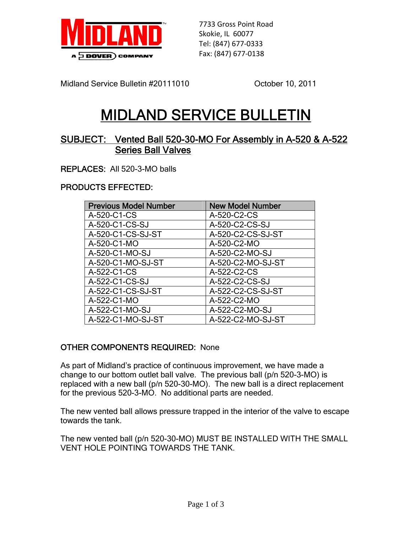

7733 Gross Point Road Skokie, IL 60077 Tel: (847) 677‐0333 Fax: (847) 677‐0138

Midland Service Bulletin #20111010 Colober 10, 2011

# MIDLAND SERVICE BULLETIN

## SUBJECT: Vented Ball 520-30-MO For Assembly in A-520 & A-522 Series Ball Valves

REPLACES: All 520-3-MO balls

### PRODUCTS EFFECTED:

| <b>Previous Model Number</b> | <b>New Model Number</b> |
|------------------------------|-------------------------|
| A-520-C1-CS                  | A-520-C2-CS             |
| A-520-C1-CS-SJ               | A-520-C2-CS-SJ          |
| A-520-C1-CS-SJ-ST            | A-520-C2-CS-SJ-ST       |
| A-520-C1-MO                  | A-520-C2-MO             |
| A-520-C1-MO-SJ               | A-520-C2-MO-SJ          |
| A-520-C1-MO-SJ-ST            | A-520-C2-MO-SJ-ST       |
| A-522-C1-CS                  | A-522-C2-CS             |
| A-522-C1-CS-SJ               | A-522-C2-CS-SJ          |
| A-522-C1-CS-SJ-ST            | A-522-C2-CS-SJ-ST       |
| A-522-C1-MO                  | A-522-C2-MO             |
| A-522-C1-MO-SJ               | A-522-C2-MO-SJ          |
| A-522-C1-MO-SJ-ST            | A-522-C2-MO-SJ-ST       |

### OTHER COMPONENTS REQUIRED: None

As part of Midland's practice of continuous improvement, we have made a change to our bottom outlet ball valve. The previous ball (p/n 520-3-MO) is replaced with a new ball (p/n 520-30-MO). The new ball is a direct replacement for the previous 520-3-MO. No additional parts are needed.

The new vented ball allows pressure trapped in the interior of the valve to escape towards the tank.

The new vented ball (p/n 520-30-MO) MUST BE INSTALLED WITH THE SMALL VENT HOLE POINTING TOWARDS THE TANK.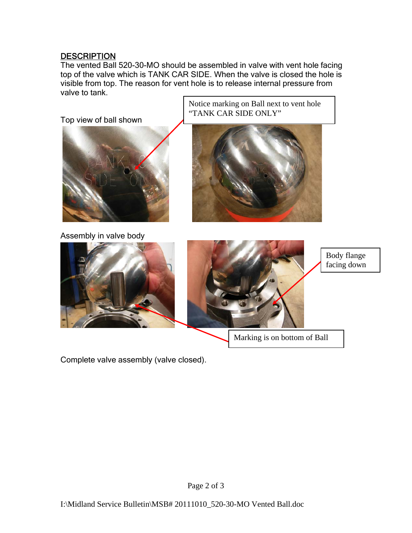### **DESCRIPTION**

The vented Ball 520-30-MO should be assembled in valve with vent hole facing top of the valve which is TANK CAR SIDE. When the valve is closed the hole is visible from top. The reason for vent hole is to release internal pressure from valve to tank.

Notice marking on Ball next to vent hole



Marking is on bottom of Ball

Complete valve assembly (valve closed).